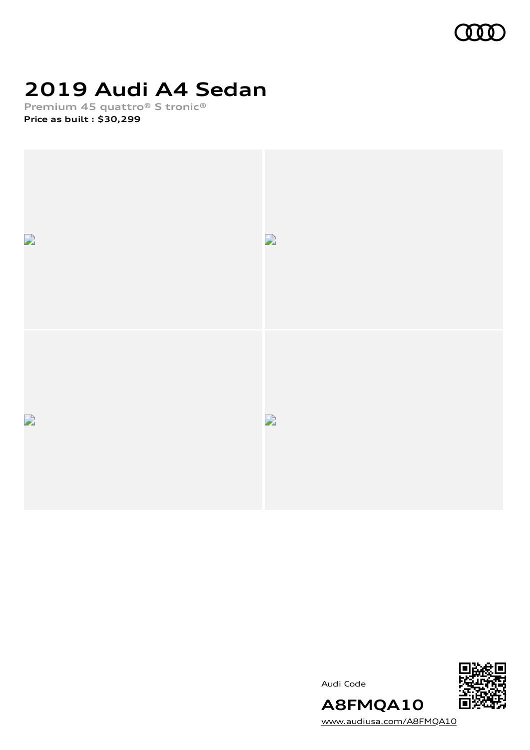

# **2019 Audi A4 Sedan**

**Premium 45 quattro® S tronic® Price as built [:](#page-10-0) \$30,299**



Audi Code



**A8FMQA10** [www.audiusa.com/A8FMQA10](https://www.audiusa.com/A8FMQA10)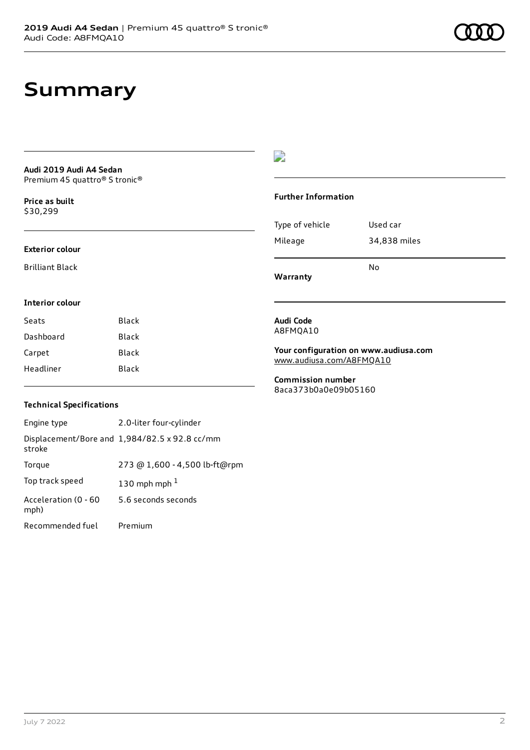## **Summary**

### **Audi 2019 Audi A4 Sedan** Premium 45 quattro® S tronic®

**Price as buil[t](#page-10-0)** \$30,299

### **Exterior colour**

Brilliant Black

### $\overline{\phantom{a}}$

#### **Further Information**

|                 | N٥           |
|-----------------|--------------|
| Mileage         | 34,838 miles |
| Type of vehicle | Used car     |

**Warranty**

### **Interior colour**

| Black |
|-------|
| Black |
| Black |
| Black |
|       |

#### **Audi Code** A8FMQA10

**Your configuration on www.audiusa.com** [www.audiusa.com/A8FMQA10](https://www.audiusa.com/A8FMQA10)

**Commission number** 8aca373b0a0e09b05160

### **Technical Specifications**

| Engine type                  | 2.0-liter four-cylinder                       |
|------------------------------|-----------------------------------------------|
| stroke                       | Displacement/Bore and 1,984/82.5 x 92.8 cc/mm |
| Torque                       | 273 @ 1,600 - 4,500 lb-ft@rpm                 |
| Top track speed              | 130 mph mph $1$                               |
| Acceleration (0 - 60<br>mph) | 5.6 seconds seconds                           |
| Recommended fuel             | Premium                                       |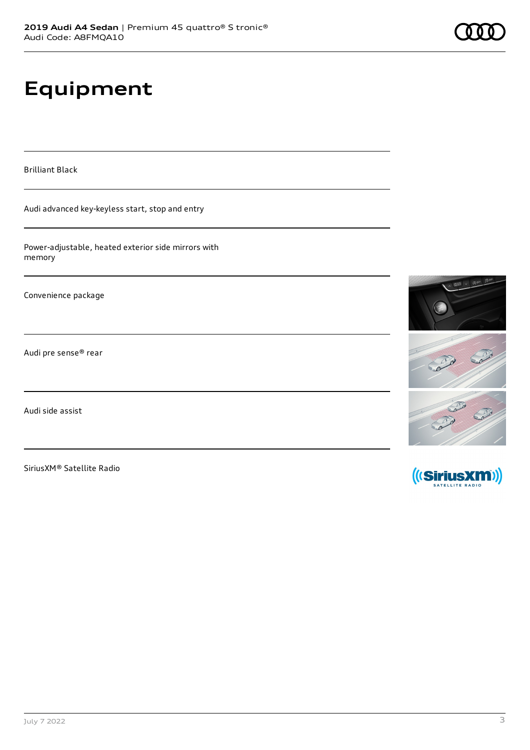# **Equipment**

Brilliant Black

Audi advanced key-keyless start, stop and entry

Power-adjustable, heated exterior side mirrors with memory

Convenience package

Audi pre sense® rear

Audi side assist

SiriusXM® Satellite Radio





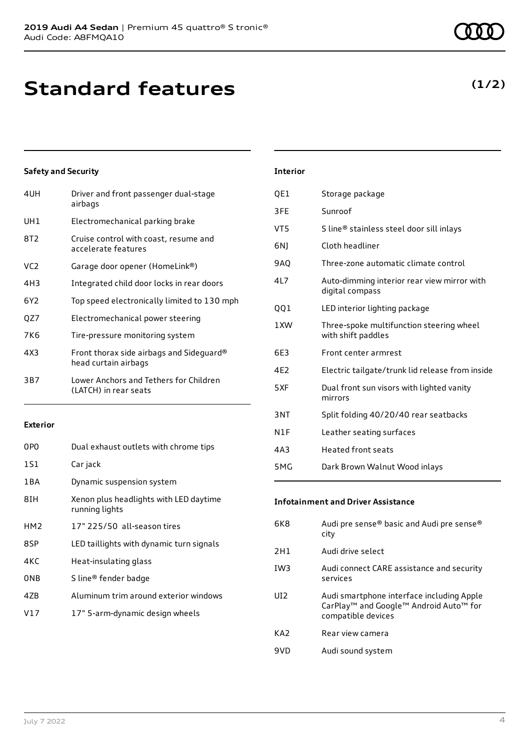# **Standard features**

### **Safety and Security**

| 4UH | Driver and front passenger dual-stage<br>airbags                 |
|-----|------------------------------------------------------------------|
| UH1 | Electromechanical parking brake                                  |
| 8T2 | Cruise control with coast, resume and<br>accelerate features     |
| VC2 | Garage door opener (HomeLink®)                                   |
| 4H3 | Integrated child door locks in rear doors                        |
| 6Y2 | Top speed electronically limited to 130 mph                      |
| QZ7 | Electromechanical power steering                                 |
| 7K6 | Tire-pressure monitoring system                                  |
| 4X3 | Front thorax side airbags and Sideguard®<br>head curtain airbags |
| 3B7 | Lower Anchors and Tethers for Children<br>(LATCH) in rear seats  |
|     |                                                                  |

### **Exterior**

| 0P <sub>0</sub> | Dual exhaust outlets with chrome tips                    |
|-----------------|----------------------------------------------------------|
| 1S1             | Car jack                                                 |
| 1 B A           | Dynamic suspension system                                |
| 8IH             | Xenon plus headlights with LED daytime<br>running lights |
| HM <sub>2</sub> | 17" 225/50 all-season tires                              |
| 8SP             | LED taillights with dynamic turn signals                 |
| 4KC             | Heat-insulating glass                                    |
| 0 <sub>NB</sub> | S line® fender badge                                     |
| 47B             | Aluminum trim around exterior windows                    |
| V17             | 17" 5-arm-dynamic design wheels                          |

### July 7 2022 4

| <b>Interior</b> |                 |
|-----------------|-----------------|
| OE1             | Storage package |

- 3FE Sunroof
- VT5 S line® stainless steel door sill inlays
- 6NJ Cloth headliner
- 9AQ Three-zone automatic climate control
- 4L7 Auto-dimming interior rear view mirror with digital compass
- QQ1 LED interior lighting package
- 1XW Three-spoke multifunction steering wheel with shift paddles
- 6E3 Front center armrest
- 4E2 Electric tailgate/trunk lid release from inside
- 5XF Dual front sun visors with lighted vanity mirrors
- 3NT Split folding 40/20/40 rear seatbacks
- N1F Leather seating surfaces
- 4A3 Heated front seats
- 5MG Dark Brown Walnut Wood inlays

### **Infotainment and Driver Assistance**

| 6K8             | Audi pre sense® basic and Audi pre sense®<br>city                                                                     |
|-----------------|-----------------------------------------------------------------------------------------------------------------------|
| 2H1             | Audi drive select                                                                                                     |
| IW <sub>3</sub> | Audi connect CARE assistance and security<br>services                                                                 |
| UI <sub>2</sub> | Audi smartphone interface including Apple<br>CarPlay <sup>™</sup> and Google™ Android Auto™ for<br>compatible devices |
| KA <sub>2</sub> | Rear view camera                                                                                                      |
| 9VD             | Audi sound system                                                                                                     |
|                 |                                                                                                                       |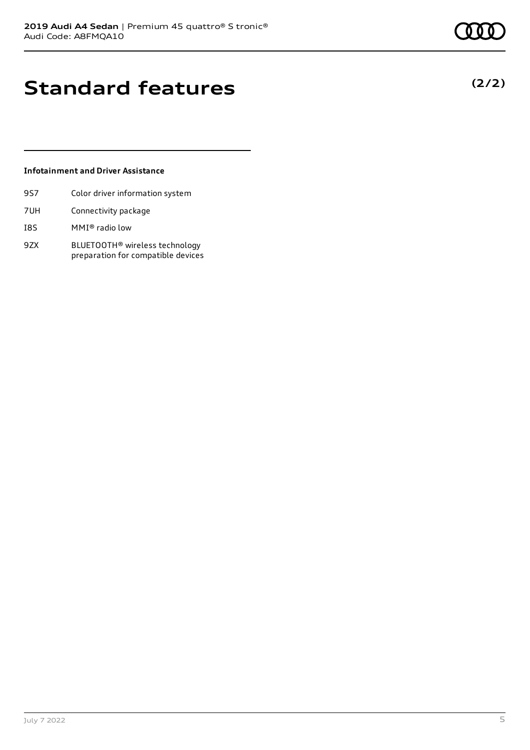**(2/2)**

## **Standard features**

### **Infotainment and Driver Assistance**

- 9S7 Color driver information system
- 7UH Connectivity package
- I8S MMI® radio low
- 9ZX BLUETOOTH® wireless technology preparation for compatible devices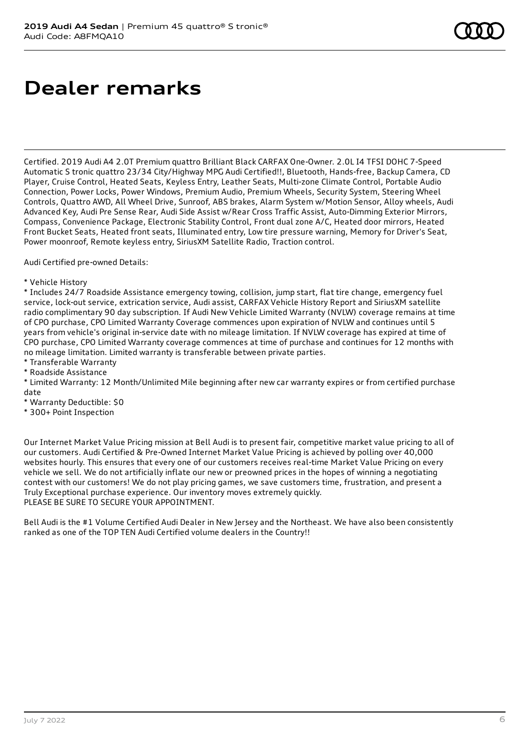# **Dealer remarks**

Certified. 2019 Audi A4 2.0T Premium quattro Brilliant Black CARFAX One-Owner. 2.0L I4 TFSI DOHC 7-Speed Automatic S tronic quattro 23/34 City/Highway MPG Audi Certified!!, Bluetooth, Hands-free, Backup Camera, CD Player, Cruise Control, Heated Seats, Keyless Entry, Leather Seats, Multi-zone Climate Control, Portable Audio Connection, Power Locks, Power Windows, Premium Audio, Premium Wheels, Security System, Steering Wheel Controls, Quattro AWD, All Wheel Drive, Sunroof, ABS brakes, Alarm System w/Motion Sensor, Alloy wheels, Audi Advanced Key, Audi Pre Sense Rear, Audi Side Assist w/Rear Cross Traffic Assist, Auto-Dimming Exterior Mirrors, Compass, Convenience Package, Electronic Stability Control, Front dual zone A/C, Heated door mirrors, Heated Front Bucket Seats, Heated front seats, Illuminated entry, Low tire pressure warning, Memory for Driver's Seat, Power moonroof, Remote keyless entry, SiriusXM Satellite Radio, Traction control.

Audi Certified pre-owned Details:

\* Vehicle History

\* Includes 24/7 Roadside Assistance emergency towing, collision, jump start, flat tire change, emergency fuel service, lock-out service, extrication service, Audi assist, CARFAX Vehicle History Report and SiriusXM satellite radio complimentary 90 day subscription. If Audi New Vehicle Limited Warranty (NVLW) coverage remains at time of CPO purchase, CPO Limited Warranty Coverage commences upon expiration of NVLW and continues until 5 years from vehicle's original in-service date with no mileage limitation. If NVLW coverage has expired at time of CPO purchase, CPO Limited Warranty coverage commences at time of purchase and continues for 12 months with no mileage limitation. Limited warranty is transferable between private parties.

- \* Transferable Warranty
- \* Roadside Assistance

\* Limited Warranty: 12 Month/Unlimited Mile beginning after new car warranty expires or from certified purchase date

- \* Warranty Deductible: \$0
- \* 300+ Point Inspection

Our Internet Market Value Pricing mission at Bell Audi is to present fair, competitive market value pricing to all of our customers. Audi Certified & Pre-Owned Internet Market Value Pricing is achieved by polling over 40,000 websites hourly. This ensures that every one of our customers receives real-time Market Value Pricing on every vehicle we sell. We do not artificially inflate our new or preowned prices in the hopes of winning a negotiating contest with our customers! We do not play pricing games, we save customers time, frustration, and present a Truly Exceptional purchase experience. Our inventory moves extremely quickly. PLEASE BE SURE TO SECURE YOUR APPOINTMENT.

Bell Audi is the #1 Volume Certified Audi Dealer in New Jersey and the Northeast. We have also been consistently ranked as one of the TOP TEN Audi Certified volume dealers in the Country!!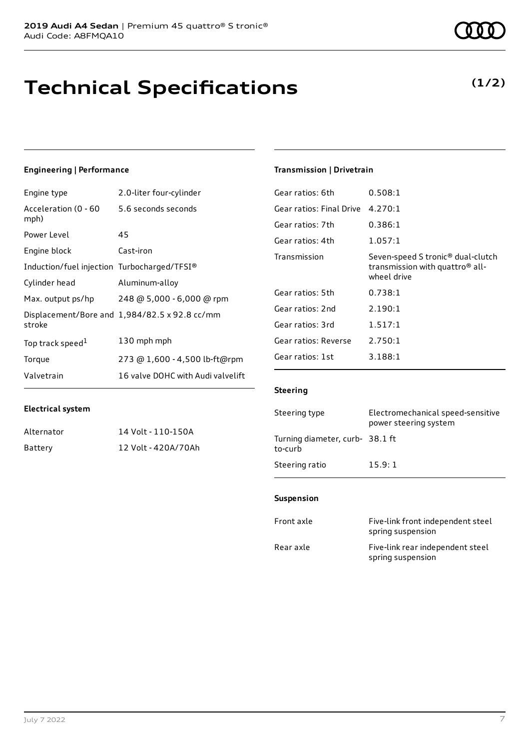# **Technical Specifications**

### **Engineering | Performance**

| Engine type                                 | 2.0-liter four-cylinder                       |
|---------------------------------------------|-----------------------------------------------|
| Acceleration (0 - 60<br>mph)                | 5.6 seconds seconds                           |
| Power Level                                 | 45                                            |
| Engine block                                | Cast-iron                                     |
| Induction/fuel injection Turbocharged/TFSI® |                                               |
| Cylinder head                               | Aluminum-alloy                                |
| Max. output ps/hp                           | 248 @ 5,000 - 6,000 @ rpm                     |
| stroke                                      | Displacement/Bore and 1,984/82.5 x 92.8 cc/mm |
| Top track speed <sup>1</sup>                | 130 mph mph                                   |
| Torque                                      | 273 @ 1,600 - 4,500 lb-ft@rpm                 |
| Valvetrain                                  | 16 valve DOHC with Audi valvelift             |

### **Electrical system**

| Alternator | 14 Volt - 110-150A  |
|------------|---------------------|
| Battery    | 12 Volt - 420A/70Ah |

### **Transmission | Drivetrain**

| Gear ratios: 6th         | 0.508:1                                                                                                     |
|--------------------------|-------------------------------------------------------------------------------------------------------------|
| Gear ratios: Final Drive | 4.270:1                                                                                                     |
| Gear ratios: 7th         | 0.386:1                                                                                                     |
| Gear ratios: 4th         | 1.057:1                                                                                                     |
| Transmission             | Seven-speed S tronic <sup>®</sup> dual-clutch<br>transmission with quattro <sup>®</sup> all-<br>wheel drive |
| Gear ratios: 5th         | 0.738:1                                                                                                     |
| Gear ratios: 2nd         | 2.190:1                                                                                                     |
| Gear ratios: 3rd         | 1.517:1                                                                                                     |
| Gear ratios: Reverse     | 2.750:1                                                                                                     |
| Gear ratios: 1st         | 3.188:1                                                                                                     |
|                          |                                                                                                             |

### **Steering**

| Steering type                             | Electromechanical speed-sensitive<br>power steering system |
|-------------------------------------------|------------------------------------------------------------|
| Turning diameter, curb-38.1 ft<br>to-curb |                                                            |
| Steering ratio                            | 15.9:1                                                     |

### **Suspension**

| Front axle | Five-link front independent steel<br>spring suspension |
|------------|--------------------------------------------------------|
| Rear axle  | Five-link rear independent steel<br>spring suspension  |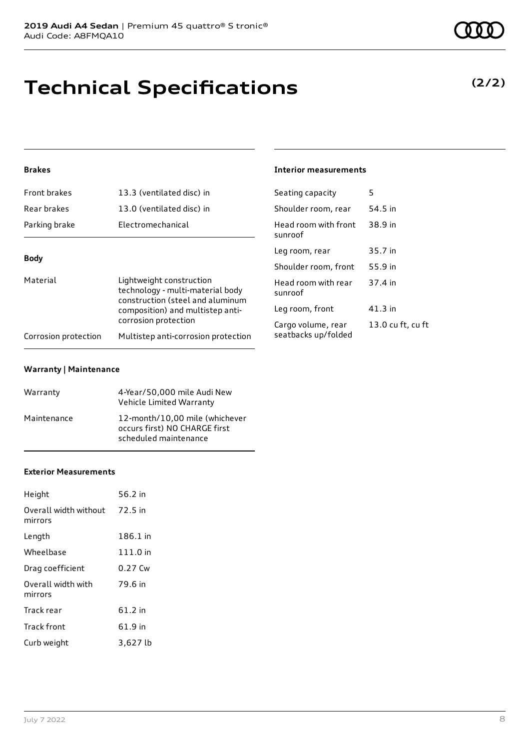# **Technical Specifications**

### **(2/2)**

### **Brakes**

| Front brakes         | 13.3 (ventilated disc) in                                                                                                            | Seating capacity                          | 5       |
|----------------------|--------------------------------------------------------------------------------------------------------------------------------------|-------------------------------------------|---------|
| Rear brakes          | 13.0 (ventilated disc) in                                                                                                            | Shoulder room, rear                       | 54.5 in |
| Parking brake        | Electromechanical                                                                                                                    | Head room with front<br>sunroof           | 38.9 in |
| <b>Body</b>          |                                                                                                                                      | Leg room, rear                            | 35.7 in |
| Material             |                                                                                                                                      | Shoulder room, front                      | 55.9 in |
|                      | Lightweight construction<br>technology - multi-material body<br>construction (steel and aluminum<br>composition) and multistep anti- | Head room with rear<br>sunroof            | 37.4 in |
|                      |                                                                                                                                      | Leg room, front                           | 41.3 in |
|                      | corrosion protection<br>Multistep anti-corrosion protection                                                                          | Cargo volume, rear<br>seatbacks up/folded | 13.0 cu |
| Corrosion protection |                                                                                                                                      |                                           |         |

**Interior measurements**

13.0 cu ft, cu ft

#### **Warranty | Maintenance**

| Warranty    | 4-Year/50,000 mile Audi New<br>Vehicle Limited Warranty                                  |
|-------------|------------------------------------------------------------------------------------------|
| Maintenance | 12-month/10,00 mile (whichever<br>occurs first) NO CHARGE first<br>scheduled maintenance |

#### **Exterior Measurements**

| Height                                   | 56.2 in  |
|------------------------------------------|----------|
| Overall width without 72.5 in<br>mirrors |          |
| Length                                   | 186.1 in |
| Wheelbase                                | 111.0 in |
| Drag coefficient                         | 0.27 Cw  |
| Overall width with<br>mirrors            | 79.6 in  |
| Track rear                               | 61.2 in  |
| Track front                              | 61.9 in  |
| Curb weight                              | 3,627 lb |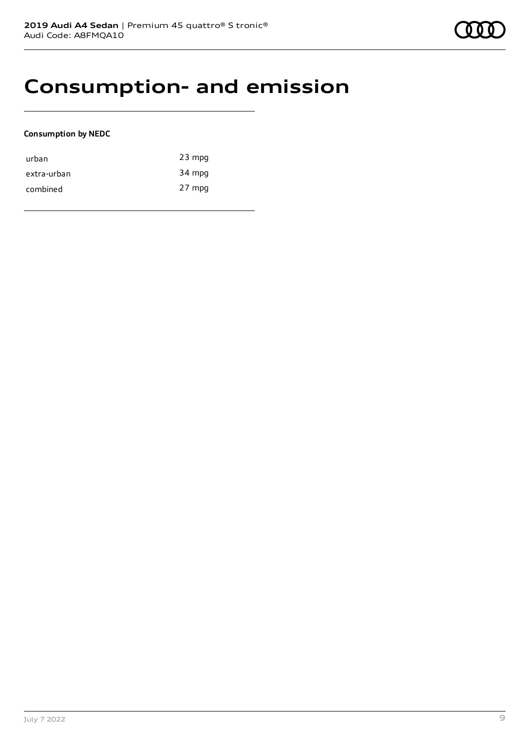## **Consumption- and emission**

### **Consumption by NEDC**

| urban       | $23$ mpg |
|-------------|----------|
| extra-urban | 34 mpg   |
| combined    | 27 mpg   |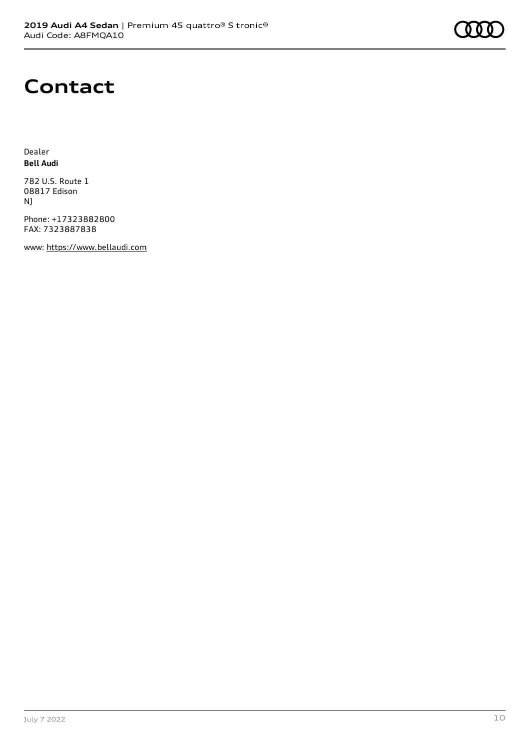

### **Contact**

Dealer **Bell Audi**

782 U.S. Route 1 08817 Edison NJ

Phone: +17323882800 FAX: 7323887838

www: [https://www.bellaudi.com](https://www.bellaudi.com/)